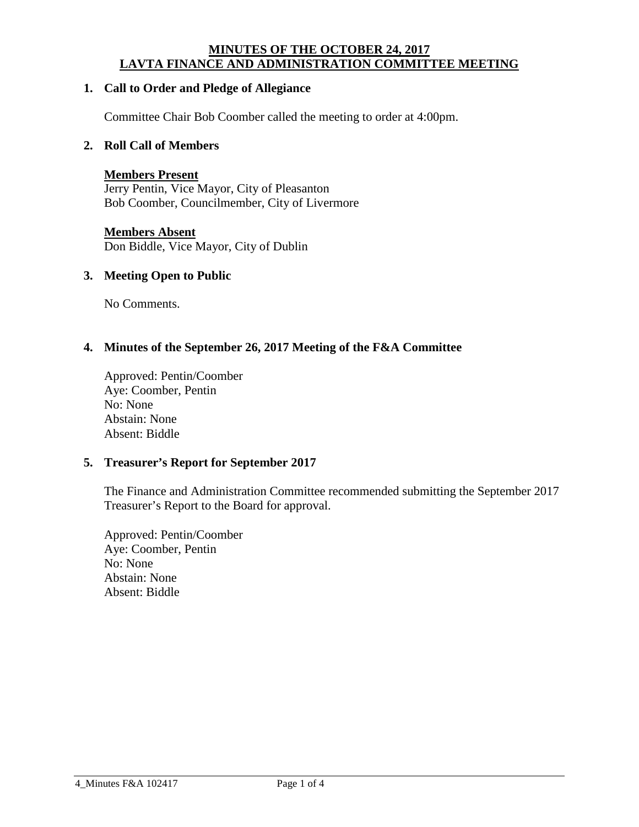#### **MINUTES OF THE OCTOBER 24, 2017 LAVTA FINANCE AND ADMINISTRATION COMMITTEE MEETING**

#### **1. Call to Order and Pledge of Allegiance**

Committee Chair Bob Coomber called the meeting to order at 4:00pm.

#### **2. Roll Call of Members**

**Members Present** Jerry Pentin, Vice Mayor, City of Pleasanton Bob Coomber, Councilmember, City of Livermore

#### **Members Absent**

Don Biddle, Vice Mayor, City of Dublin

#### **3. Meeting Open to Public**

No Comments.

#### **4. Minutes of the September 26, 2017 Meeting of the F&A Committee**

Approved: Pentin/Coomber Aye: Coomber, Pentin No: None Abstain: None Absent: Biddle

#### **5. Treasurer's Report for September 2017**

The Finance and Administration Committee recommended submitting the September 2017 Treasurer's Report to the Board for approval.

Approved: Pentin/Coomber Aye: Coomber, Pentin No: None Abstain: None Absent: Biddle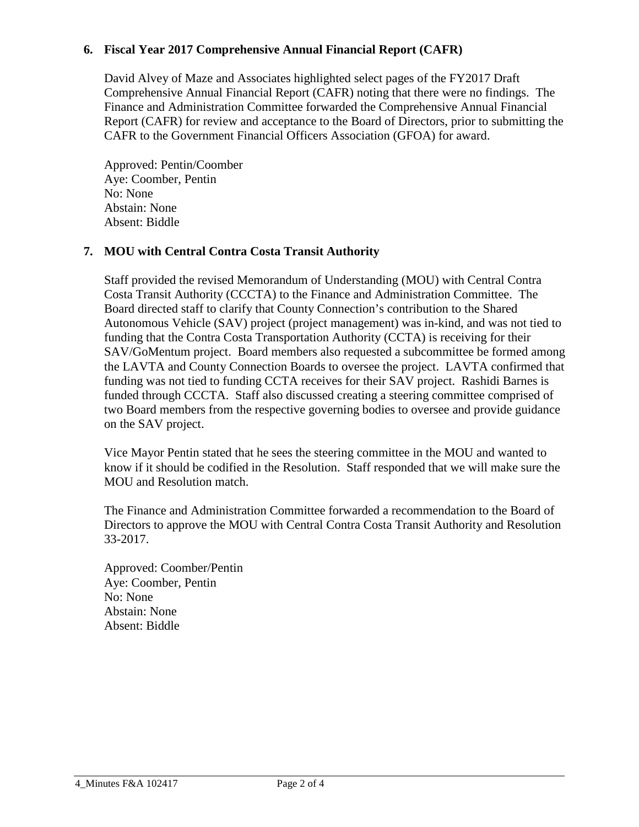# **6. Fiscal Year 2017 Comprehensive Annual Financial Report (CAFR)**

David Alvey of Maze and Associates highlighted select pages of the FY2017 Draft Comprehensive Annual Financial Report (CAFR) noting that there were no findings. The Finance and Administration Committee forwarded the Comprehensive Annual Financial Report (CAFR) for review and acceptance to the Board of Directors, prior to submitting the CAFR to the Government Financial Officers Association (GFOA) for award.

Approved: Pentin/Coomber Aye: Coomber, Pentin No: None Abstain: None Absent: Biddle

# **7. MOU with Central Contra Costa Transit Authority**

Staff provided the revised Memorandum of Understanding (MOU) with Central Contra Costa Transit Authority (CCCTA) to the Finance and Administration Committee. The Board directed staff to clarify that County Connection's contribution to the Shared Autonomous Vehicle (SAV) project (project management) was in-kind, and was not tied to funding that the Contra Costa Transportation Authority (CCTA) is receiving for their SAV/GoMentum project. Board members also requested a subcommittee be formed among the LAVTA and County Connection Boards to oversee the project. LAVTA confirmed that funding was not tied to funding CCTA receives for their SAV project. Rashidi Barnes is funded through CCCTA. Staff also discussed creating a steering committee comprised of two Board members from the respective governing bodies to oversee and provide guidance on the SAV project.

Vice Mayor Pentin stated that he sees the steering committee in the MOU and wanted to know if it should be codified in the Resolution. Staff responded that we will make sure the MOU and Resolution match.

The Finance and Administration Committee forwarded a recommendation to the Board of Directors to approve the MOU with Central Contra Costa Transit Authority and Resolution 33-2017.

Approved: Coomber/Pentin Aye: Coomber, Pentin No: None Abstain: None Absent: Biddle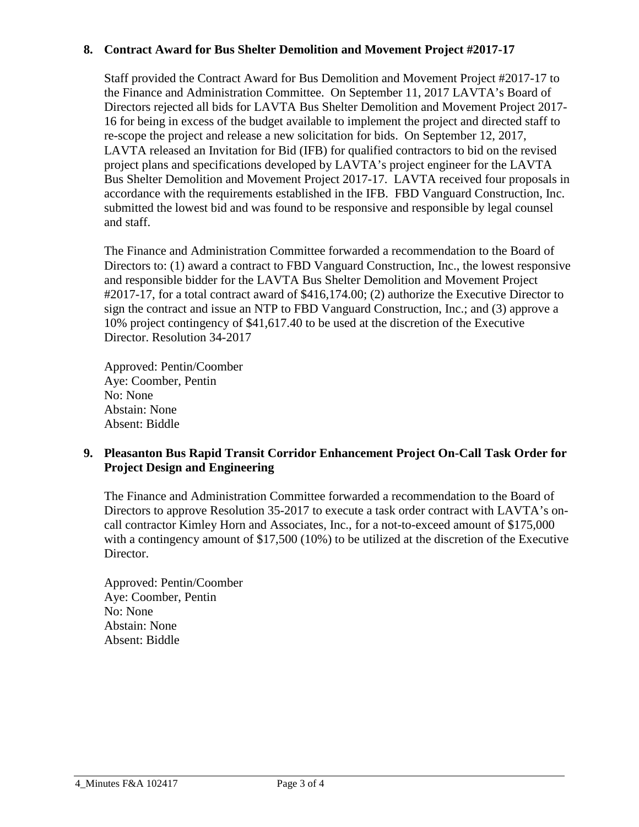## **8. Contract Award for Bus Shelter Demolition and Movement Project #2017-17**

Staff provided the Contract Award for Bus Demolition and Movement Project #2017-17 to the Finance and Administration Committee. On September 11, 2017 LAVTA's Board of Directors rejected all bids for LAVTA Bus Shelter Demolition and Movement Project 2017- 16 for being in excess of the budget available to implement the project and directed staff to re-scope the project and release a new solicitation for bids. On September 12, 2017, LAVTA released an Invitation for Bid (IFB) for qualified contractors to bid on the revised project plans and specifications developed by LAVTA's project engineer for the LAVTA Bus Shelter Demolition and Movement Project 2017-17. LAVTA received four proposals in accordance with the requirements established in the IFB. FBD Vanguard Construction, Inc. submitted the lowest bid and was found to be responsive and responsible by legal counsel and staff.

The Finance and Administration Committee forwarded a recommendation to the Board of Directors to: (1) award a contract to FBD Vanguard Construction, Inc., the lowest responsive and responsible bidder for the LAVTA Bus Shelter Demolition and Movement Project #2017-17, for a total contract award of \$416,174.00; (2) authorize the Executive Director to sign the contract and issue an NTP to FBD Vanguard Construction, Inc.; and (3) approve a 10% project contingency of \$41,617.40 to be used at the discretion of the Executive Director. Resolution 34-2017

Approved: Pentin/Coomber Aye: Coomber, Pentin No: None Abstain: None Absent: Biddle

# **9. Pleasanton Bus Rapid Transit Corridor Enhancement Project On-Call Task Order for Project Design and Engineering**

The Finance and Administration Committee forwarded a recommendation to the Board of Directors to approve Resolution 35-2017 to execute a task order contract with LAVTA's oncall contractor Kimley Horn and Associates, Inc., for a not-to-exceed amount of \$175,000 with a contingency amount of \$17,500 (10%) to be utilized at the discretion of the Executive Director.

Approved: Pentin/Coomber Aye: Coomber, Pentin No: None Abstain: None Absent: Biddle